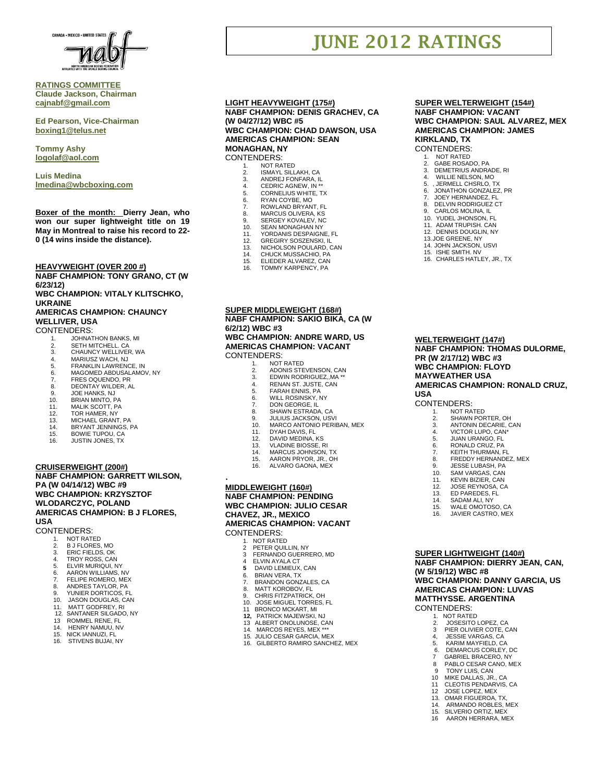

## **RATINGS COMMITTEE Claude Jackson, Chairman [cajnabf@gmail.com](mailto:cajnabf@gmail.com)**

**Ed Pearson, Vice-Chairman boxing1@telus.net**

**Tommy Ashy [logolaf@aol.com](mailto:logolaf@aol.com)**

**Luis Medina [lmedina@wbcboxing.com](mailto:lmedina@wbcboxing.com)**

**Boxer of the month: Dierry Jean, who won our super lightweight title on 19 May in Montreal to raise his record to 22- 0 (14 wins inside the distance).**

**HEAVYWEIGHT (OVER 200 #)**

**NABF CHAMPION: TONY GRANO, CT (W 6/23/12)** 

**WBC CHAMPION: VITALY KLITSCHKO, UKRAINE**

# **AMERICAS CHAMPION: CHAUNCY WELLIVER, USA**

CONTENDERS:

- 
- 1. JOHNATHON BANKS, MI 2. SETH MITCHELL. CA
- 3. CHAUNCY WELLIVER, WA 4. MARIUSZ WACH, NJ
- 
- 5. FRANKLIN LAWRENCE, IN<br>5. FRANKLIN LAWRENCE, IN<br>6. MAGOMED ABDUSALAMO
- 6. MAGOMED ABDUSALAMOV, NY 7. FRES OQUENDO, PR
- 8. DEONTAY WILDER, AL<br>9. JOE HANKS NJ
- 
- 9. JOE HANKS, NJ<br>10. BRIAN MINTO, P
- 10. BRIAN MINTO, PA<br>11. MALIK SCOTT, PA 11. MALIK SCOTT, PA
- 12. TOR HAMER, NY<br>13. MICHAEL GRANT
- 13. MICHAEL GRANT, PA
- 14. BRYANT JENNINGS, PA
- BOWIE TUPOU, CA
- 16. JUSTIN JONES, TX

#### **CRUISERWEIGHT (200#)**

#### **NABF CHAMPION: GARRETT WILSON, PA (W 04/14/12) WBC #9 WBC CHAMPION: KRZYSZTOF WLODARCZYC, POLAND AMERICAS CHAMPION: B J FLORES, USA**

CONTENDERS:

- 1. NOT RATED<br>2. B J FLORES,
- 2. B J FLORES, MO
- 3. ERIC FIELDS, OK 4. TROY ROSS, CAN
- 5. ELVIR MURIQUI, NY
- 
- 6. AARON WILLIAMS, NV 7. FELIPE ROMERO, MEX
- 
- 8. ANDRES TAYLOR, PA 9. YUNIER DORTICOS, FL
- 10. JASON DOUGLAS, CAN
- 11. MATT GODFREY, RI
- 11. NWT COOPTIC 1, 11.<br>12. SANTANER SILGADO, NY
- ROMMEL RENE, FL
- 14. HENRY NAMUU, NV<br>15. NICK JANNUZI. FL
- 15. NICK IANNUZI, FL STIVENS BUJAI, NY

#### **LIGHT HEAVYWEIGHT (175#) NABF CHAMPION: DENIS GRACHEV, CA (W 04/27/12) WBC #5 WBC CHAMPION: CHAD DAWSON, USA AMERICAS CHAMPION: SEAN**

**MONAGHAN, NY** CONTENDERS:

- NOT RATED
- 2. ISMAYL SILLAKH, CA<br>3. ANDREJ FONFARA, IL
- 3. ANDREJ FONFARA, IL 4. CEDRIC AGNEW, IN \*\*
- 
- 
- 5. CORNELIUS WHITE, TX<br>6. RYAN COYBE, MO<br>7. ROWLAND BRYANT, FL 6. RYAN COYBE, MO 7. ROWLAND BRYANT, FL
- 
- 8. MARCUS OLIVERA, KS 9. SERGEY KOVALEV, NC
- 10. SEAN MONAGHAN NY
- 11. YORDANIS DESPAIGNE, FL 12. GREGIRY SOSZENSKI, IL
- 
- 13. NICHOLSON POULARD, CAN<br>14 CHUCK MUSSACHIO PA
- 14. CHUCK MUSSACHIO, PA<br>15. ELIEDER ALVAREZ, CAN ELIEDER ALVAREZ, CAN
- 16. TOMMY KARPENCY, PA
- 

**SUPER MIDDLEWEIGHT (168#) NABF CHAMPION: SAKIO BIKA, CA (W 6/2/12) WBC #3**

#### **WBC CHAMPION: ANDRE WARD, US AMERICAS CHAMPION: VACANT** CONTENDERS:

- 
- 1. NOT RATED<br>2. ADONIS STE
- 2. ADONIS STEVENSON, CAN<br>3. EDWIN RODRIGUEZ, MA\*\*
- 3. EDWIN RODRIGUEZ,,MA \*\* 4. RENAN ST. JUSTE, CAN
- 5. FARAH ENNIS, PA
- 6. WILL ROSINSKY, NY
- 7. DON GEORGE, IL<br>8. SHAWN ESTRADA
- 8. SHAWN ESTRADA, CA<br>9. JULIUS JACKSON, US
- 9. JULIUS JACKSON, USVI<br>10. MARCO ANTONIO PERIE
- 10. MARCO ANTONIO PERIBAN, MEX 11. DYAH DAVIS, FL
- 
- 12. DAVID MEDINA, KS<br>13. VLADINE BIOSSE, F
- 13. VLADINE BIOSSE, RI 14. MARCUS JOHNSON, TX
- 
- 15. AARON PRYOR, JR., OH 16. ALVARO GAONA, MEX
- 

## **MIDDLEWEIGHT (160#) NABF CHAMPION: PENDING WBC CHAMPION: JULIO CESAR CHAVEZ, JR., MEXICO AMERICAS CHAMPION: VACANT**

CONTENDERS:

.

- 1. NOT RATED<br>2 PETER QUIL
- 2 PETER QUILLIN, NY FERNANDO GUERRERO, MD
- 4 ELVIN AYALA CT<br>5 DAVID LEMIEUX
- **5** DAVID LEMIEUX, CAN
- 6. BRIAN VERA, TX 7. BRANDON GONZALES, CA
- 
- 8. MATT KOROBOV, FL<br>9. CHRIS FITZPATRICK
- 9. CHRIS FITZPATRICK, OH<br>10. JOSE MIGUEL TORRES
- 10. JOSE MIGUEL TORRES, FL<br>11 BRONCO MCKART. MI
- 11 BRONCO MCKART, MI<br>**12.** PATRICK MAJEWSKI, **PATRICK MAJEWSKI, NJ**
- 13 ALBERT ONOLUNOSE, CAN 14. MARCOS REYES, MEX \*\*\*
	-
	- 15. JULIO CESAR GARCIA, MEX
	- 16. GILBERTO RAMIRO SANCHEZ, MEX

#### **SUPER WELTERWEIGHT (154#) NABF CHAMPION: VACANT WBC CHAMPION: SAUL ALVAREZ, MEX AMERICAS CHAMPION: JAMES KIRKLAND, TX**

#### CONTENDERS:

**JUNE 2012 RATINGS**

- NOT RATED
- 2. GABE ROSADO, PA<br>3. DEMETRIUS ANDRADE, RI
- 4. WILLIE NELSON, MO

8. DELVIN RODRIGUEZ CT<br>9. CARLOS MOLINA. IL 9. CARLOS MOLINA, IL<br>10. YUDEL JHONSON E YUDEL JHONSON, FL 11. ADAM TRUPISH. CAN 12. DENNIS DOUGLIN, NY 13.JOE GREENE, NY 14. JOHN JACKSON, USVI 15. ISHE SMITH. NV 16. CHARLES HATLEY, JR., TX

**WELTERWEIGHT (147#)**

**PR (W 2/17/12) WBC #3 WBC CHAMPION: FLOYD MAYWEATHER USA**

**SUPER LIGHTWEIGHT (140#)**

**(W 5/19/12) WBC #8**

CONTENDERS: 1. NOT RATED<br>2. JOSESITO 2. JOSESITO LOPEZ, CA 3 PIER OLIVIER COTE, CAN 4, JESSIE VARGAS, CA<br>5. KARIM MAYFIELD. C 5. KARIM MAYFIELD, CA 6. DEMARCUS CORLEY, DC 7 GABRIEL BRACERO, NY 8 PABLO CESAR CANO, MEX 9 TONY LUIS, CAN<br>10 MIKE DALLAS, JR MIKE DALLAS, JR., CA 11 CLEOTIS PENDARVIS, CA<br>11 CLEOTIS PENDARVIS, CA<br>12 JOSE LOPEZ. MEX 12 JOSE LOPEZ, MEX 13. OMAR FIGUEROA, TX, 14. ARMANDO ROBLES, MEX 15. SILVERIO ORTIZ, MEX 16 AARON HERRARA, MEX

**NABF CHAMPION: DIERRY JEAN, CAN,** 

**WBC CHAMPION: DANNY GARCIA, US AMERICAS CHAMPION: LUVAS MATTHYSSE. ARGENTINA**

**USA**

CONTENDERS: 1. NOT RATED<br>2. SHAWN POR 2. SHAWN PORTER, OH<br>3. ANTONIN DECARIE. C ANTONIN DECARIE, CAN 4. VICTOR LUPO, CAN\*<br>5. JUAN URANGO, FL 5. JUAN URANGO, FL<br>6. RONALD CRUZ, PA 6. RONALD CRUZ, PA 7. KEITH THURMAN, FL 8. FREDDY HERNANDEZ, MEX 9. JESSE LUBASH, PA 10. SAM VARGAS, CAN<br>11. KEVIN BIZIER, CAN 11. KEVIN BIZIER, CAN<br>12. JOSE REYNOSA. C 12. JOSE REYNOSA, CA<br>13. ED PAREDES, FL ED PAREDES, FL 14. SADAM ALI, NY 15. WALE OMOTOSO, CA<br>16. JAVIER CASTRO. MEX JAVIER CASTRO, MEX

**NABF CHAMPION: THOMAS DULORME,** 

**AMERICAS CHAMPION: RONALD CRUZ,** 

5. , JERMELL CHSRLO, TX<br>6. JONATHON GONZALEZ 6. JONATHON GONZALEZ, PR<br>7. JOEY HERNANDEZ, FL 7. JOEY HERNANDEZ, FL